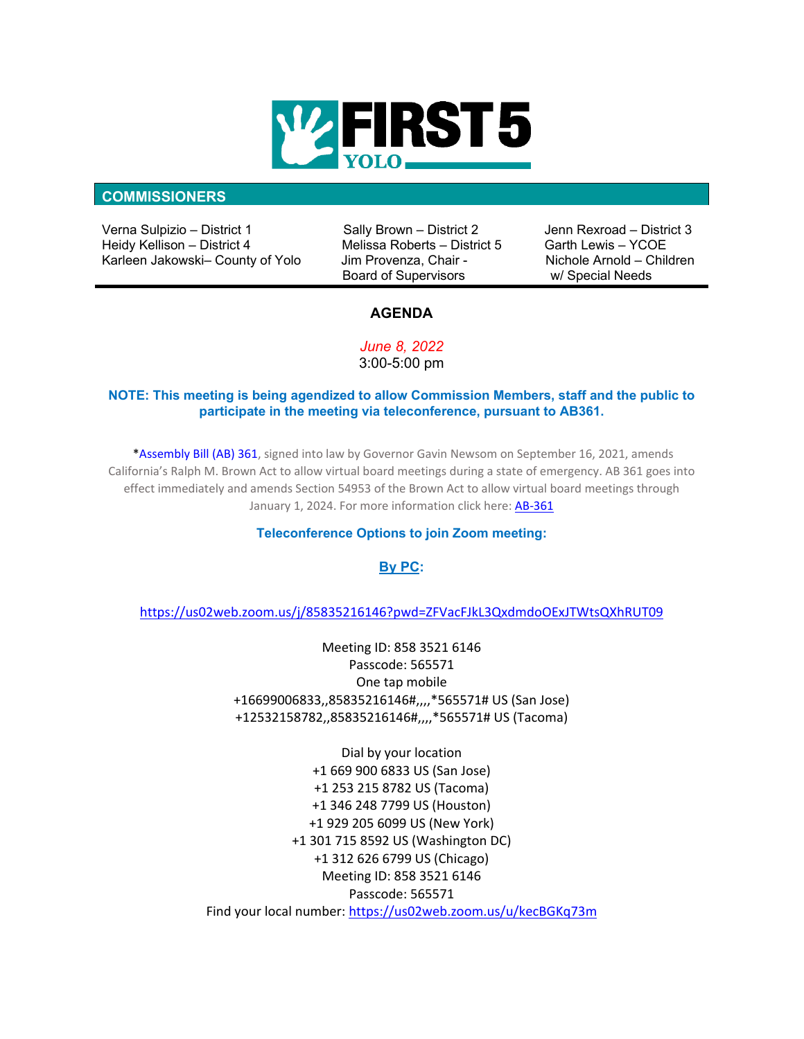

#### **COMMISSIONERS**

Verna Sulpizio – District 1 Sally Brown – District 2 Jenn Rexroad – District 3 Heidy Kellison – District 4 Melissa Roberts – District 5 Garth Lewis – YCOE Karleen Jakowski- County of Yolo

Board of Supervisors w/ Special Needs

## **AGENDA**

*June 8, 2022*  3:00-5:00 pm

## **NOTE: This meeting is being agendized to allow Commission Members, staff and the public to participate in the meeting via teleconference, pursuant to AB361.**

 \*Assembly Bill (AB) 361, signed into law by Governor Gavin Newsom on September 16, 2021, amends California's Ralph M. Brown Act to allow virtual board meetings during a state of emergency. AB 361 goes into effect immediately and amends Section 54953 of the Brown Act to allow virtual board meetings through January 1, 2024. For more information click here[: AB-361](https://leginfo.legislature.ca.gov/faces/billTextClient.xhtml?bill_id=202120220AB361)

### **Teleconference Options to join Zoom meeting:**

## **By PC:**

<https://us02web.zoom.us/j/85835216146?pwd=ZFVacFJkL3QxdmdoOExJTWtsQXhRUT09>

Meeting ID: 858 3521 6146 Passcode: 565571 One tap mobile +16699006833,,85835216146#,,,,\*565571# US (San Jose) +12532158782,,85835216146#,,,,\*565571# US (Tacoma)

Dial by your location +1 669 900 6833 US (San Jose) +1 253 215 8782 US (Tacoma) +1 346 248 7799 US (Houston) +1 929 205 6099 US (New York) +1 301 715 8592 US (Washington DC) +1 312 626 6799 US (Chicago) Meeting ID: 858 3521 6146 Passcode: 565571 Find your local number[: https://us02web.zoom.us/u/kecBGKq73m](https://us02web.zoom.us/u/kecBGKq73m)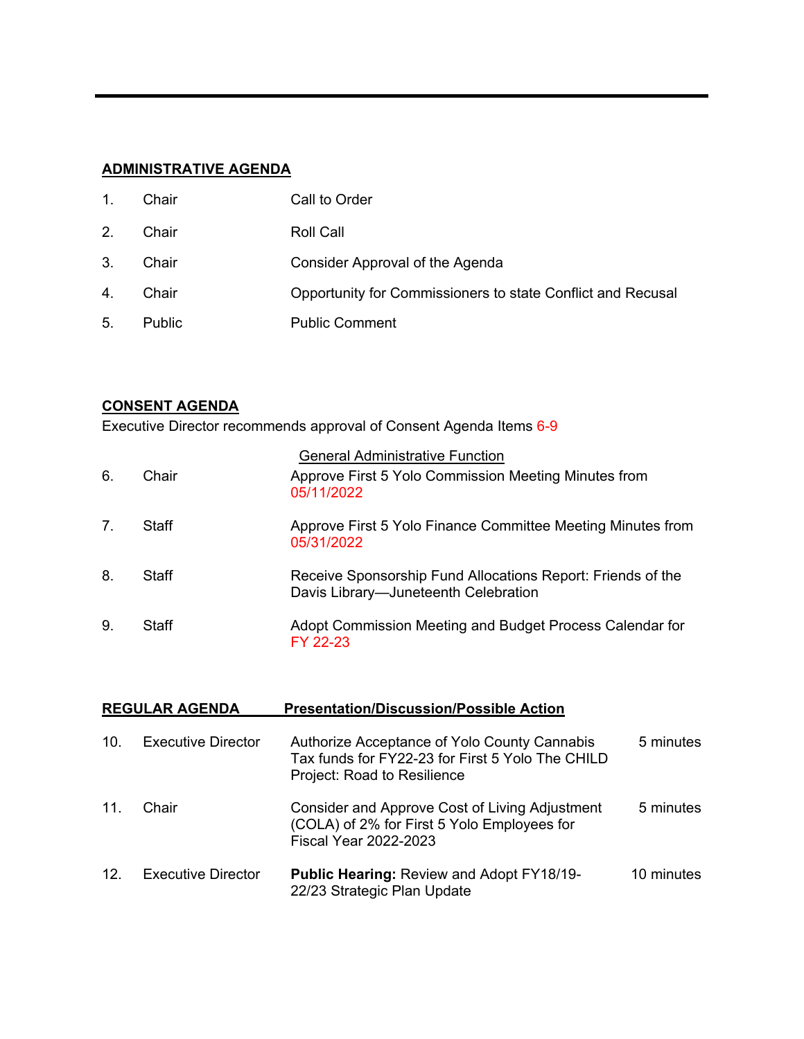# **ADMINISTRATIVE AGENDA**

| 1 <sub>1</sub> | Chair         | Call to Order                                               |
|----------------|---------------|-------------------------------------------------------------|
| 2.             | Chair         | Roll Call                                                   |
| 3 <sub>1</sub> | Chair         | Consider Approval of the Agenda                             |
| 4.             | Chair         | Opportunity for Commissioners to state Conflict and Recusal |
| 5.             | <b>Public</b> | <b>Public Comment</b>                                       |

# **CONSENT AGENDA**

Executive Director recommends approval of Consent Agenda Items 6-9

|    |       | <b>General Administrative Function</b>                                                              |
|----|-------|-----------------------------------------------------------------------------------------------------|
| 6. | Chair | Approve First 5 Yolo Commission Meeting Minutes from<br>05/11/2022                                  |
| 7. | Staff | Approve First 5 Yolo Finance Committee Meeting Minutes from<br>05/31/2022                           |
| 8. | Staff | Receive Sponsorship Fund Allocations Report: Friends of the<br>Davis Library-Juneteenth Celebration |
| 9. | Staff | Adopt Commission Meeting and Budget Process Calendar for<br>FY 22-23                                |

| <b>REGULAR AGENDA</b> |                           | <b>Presentation/Discussion/Possible Action</b>                                                                                  |            |
|-----------------------|---------------------------|---------------------------------------------------------------------------------------------------------------------------------|------------|
| 10.                   | Executive Director        | Authorize Acceptance of Yolo County Cannabis<br>Tax funds for FY22-23 for First 5 Yolo The CHILD<br>Project: Road to Resilience | 5 minutes  |
| 11.                   | Chair                     | Consider and Approve Cost of Living Adjustment<br>(COLA) of 2% for First 5 Yolo Employees for<br><b>Fiscal Year 2022-2023</b>   | 5 minutes  |
| 12.                   | <b>Executive Director</b> | <b>Public Hearing: Review and Adopt FY18/19-</b><br>22/23 Strategic Plan Update                                                 | 10 minutes |